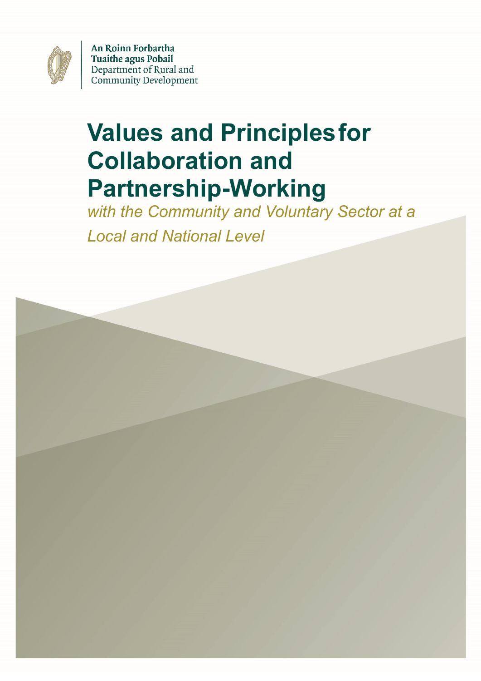

An Roinn Forbartha **Tuaithe agus Pobail** Department of Rural and **Community Development** 

# **Values and Principlesfor Collaboration and Partnership-Working**

*with the Community and Voluntary Sector at a Local and National Level*

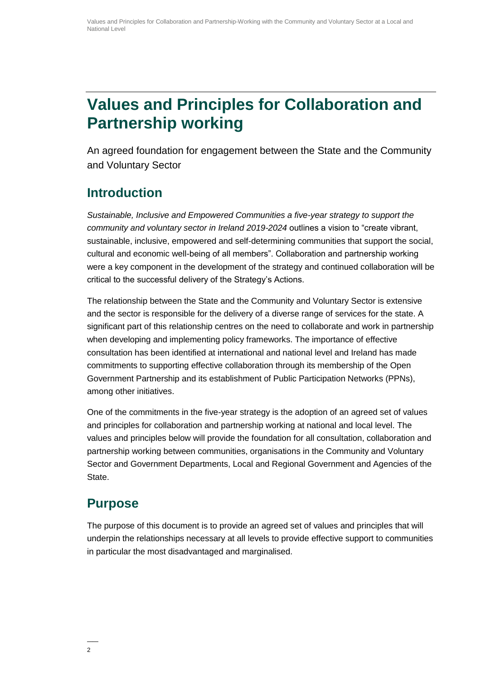# **Values and Principles for Collaboration and Partnership working**

An agreed foundation for engagement between the State and the Community and Voluntary Sector

#### **Introduction**

*Sustainable, Inclusive and Empowered Communities a five-year strategy to support the community and voluntary sector in Ireland 2019-2024* outlines a vision to "create vibrant, sustainable, inclusive, empowered and self-determining communities that support the social, cultural and economic well-being of all members". Collaboration and partnership working were a key component in the development of the strategy and continued collaboration will be critical to the successful delivery of the Strategy's Actions.

The relationship between the State and the Community and Voluntary Sector is extensive and the sector is responsible for the delivery of a diverse range of services for the state. A significant part of this relationship centres on the need to collaborate and work in partnership when developing and implementing policy frameworks. The importance of effective consultation has been identified at international and national level and Ireland has made commitments to supporting effective collaboration through its membership of the Open Government Partnership and its establishment of Public Participation Networks (PPNs), among other initiatives.

One of the commitments in the five-year strategy is the adoption of an agreed set of values and principles for collaboration and partnership working at national and local level. The values and principles below will provide the foundation for all consultation, collaboration and partnership working between communities, organisations in the Community and Voluntary Sector and Government Departments, Local and Regional Government and Agencies of the State.

#### **Purpose**

The purpose of this document is to provide an agreed set of values and principles that will underpin the relationships necessary at all levels to provide effective support to communities in particular the most disadvantaged and marginalised.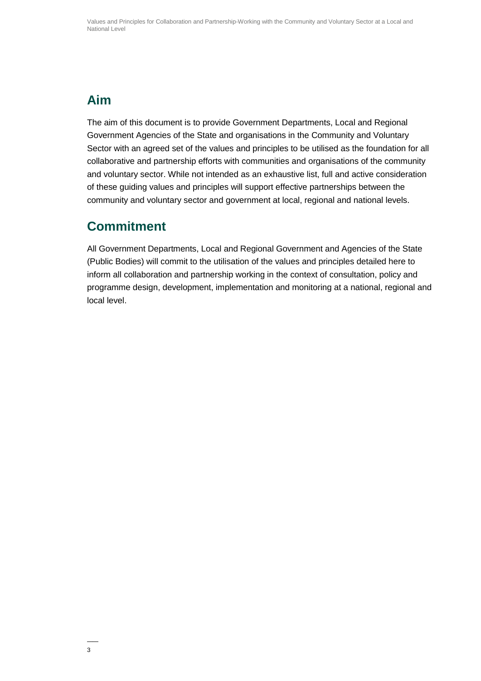# **Aim**

The aim of this document is to provide Government Departments, Local and Regional Government Agencies of the State and organisations in the Community and Voluntary Sector with an agreed set of the values and principles to be utilised as the foundation for all collaborative and partnership efforts with communities and organisations of the community and voluntary sector. While not intended as an exhaustive list, full and active consideration of these guiding values and principles will support effective partnerships between the community and voluntary sector and government at local, regional and national levels.

# **Commitment**

All Government Departments, Local and Regional Government and Agencies of the State (Public Bodies) will commit to the utilisation of the values and principles detailed here to inform all collaboration and partnership working in the context of consultation, policy and programme design, development, implementation and monitoring at a national, regional and local level.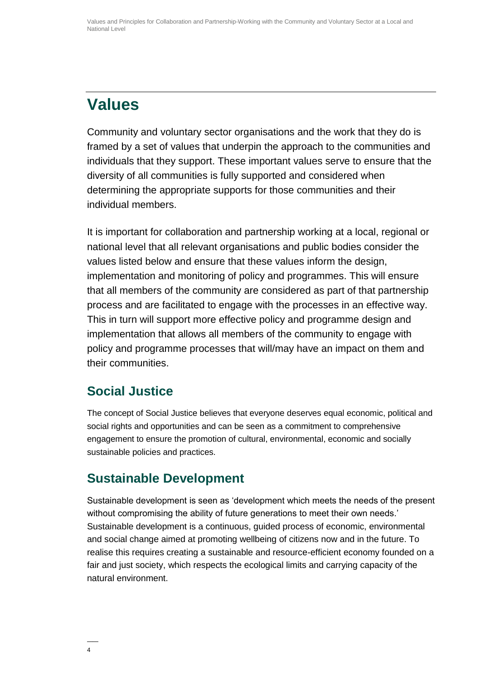# **Values**

Community and voluntary sector organisations and the work that they do is framed by a set of values that underpin the approach to the communities and individuals that they support. These important values serve to ensure that the diversity of all communities is fully supported and considered when determining the appropriate supports for those communities and their individual members.

It is important for collaboration and partnership working at a local, regional or national level that all relevant organisations and public bodies consider the values listed below and ensure that these values inform the design, implementation and monitoring of policy and programmes. This will ensure that all members of the community are considered as part of that partnership process and are facilitated to engage with the processes in an effective way. This in turn will support more effective policy and programme design and implementation that allows all members of the community to engage with policy and programme processes that will/may have an impact on them and their communities.

#### **Social Justice**

The concept of Social Justice believes that everyone deserves equal economic, political and social rights and opportunities and can be seen as a commitment to comprehensive engagement to ensure the promotion of cultural, environmental, economic and socially sustainable policies and practices.

# **Sustainable Development**

Sustainable development is seen as 'development which meets the needs of the present without compromising the ability of future generations to meet their own needs.' Sustainable development is a continuous, guided process of economic, environmental and social change aimed at promoting wellbeing of citizens now and in the future. To realise this requires creating a sustainable and resource-efficient economy founded on a fair and just society, which respects the ecological limits and carrying capacity of the natural environment.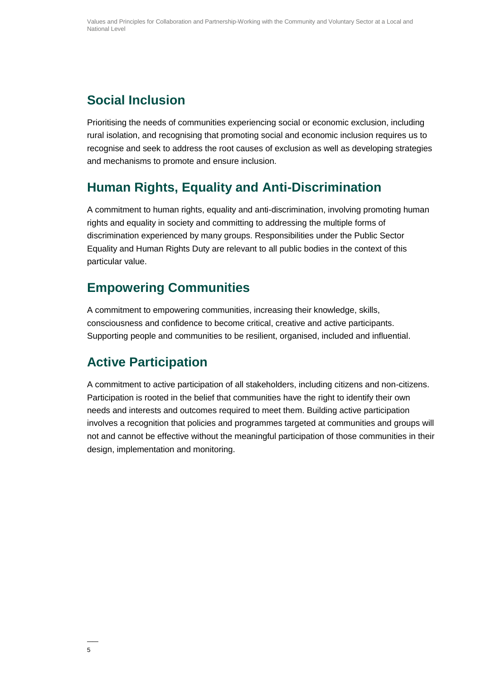# **Social Inclusion**

Prioritising the needs of communities experiencing social or economic exclusion, including rural isolation, and recognising that promoting social and economic inclusion requires us to recognise and seek to address the root causes of exclusion as well as developing strategies and mechanisms to promote and ensure inclusion.

#### **Human Rights, Equality and Anti-Discrimination**

A commitment to human rights, equality and anti-discrimination, involving promoting human rights and equality in society and committing to addressing the multiple forms of discrimination experienced by many groups. Responsibilities under the Public Sector Equality and Human Rights Duty are relevant to all public bodies in the context of this particular value.

#### **Empowering Communities**

A commitment to empowering communities, increasing their knowledge, skills, consciousness and confidence to become critical, creative and active participants. Supporting people and communities to be resilient, organised, included and influential.

# **Active Participation**

A commitment to active participation of all stakeholders, including citizens and non-citizens. Participation is rooted in the belief that communities have the right to identify their own needs and interests and outcomes required to meet them. Building active participation involves a recognition that policies and programmes targeted at communities and groups will not and cannot be effective without the meaningful participation of those communities in their design, implementation and monitoring.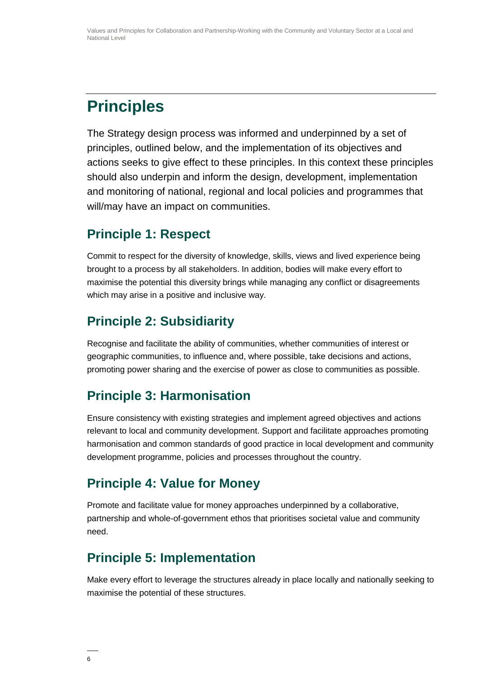# **Principles**

The Strategy design process was informed and underpinned by a set of principles, outlined below, and the implementation of its objectives and actions seeks to give effect to these principles. In this context these principles should also underpin and inform the design, development, implementation and monitoring of national, regional and local policies and programmes that will/may have an impact on communities.

#### **Principle 1: Respect**

Commit to respect for the diversity of knowledge, skills, views and lived experience being brought to a process by all stakeholders. In addition, bodies will make every effort to maximise the potential this diversity brings while managing any conflict or disagreements which may arise in a positive and inclusive way.

### **Principle 2: Subsidiarity**

Recognise and facilitate the ability of communities, whether communities of interest or geographic communities, to influence and, where possible, take decisions and actions, promoting power sharing and the exercise of power as close to communities as possible.

#### **Principle 3: Harmonisation**

Ensure consistency with existing strategies and implement agreed objectives and actions relevant to local and community development. Support and facilitate approaches promoting harmonisation and common standards of good practice in local development and community development programme, policies and processes throughout the country.

# **Principle 4: Value for Money**

Promote and facilitate value for money approaches underpinned by a collaborative, partnership and whole-of-government ethos that prioritises societal value and community need.

#### **Principle 5: Implementation**

Make every effort to leverage the structures already in place locally and nationally seeking to maximise the potential of these structures.